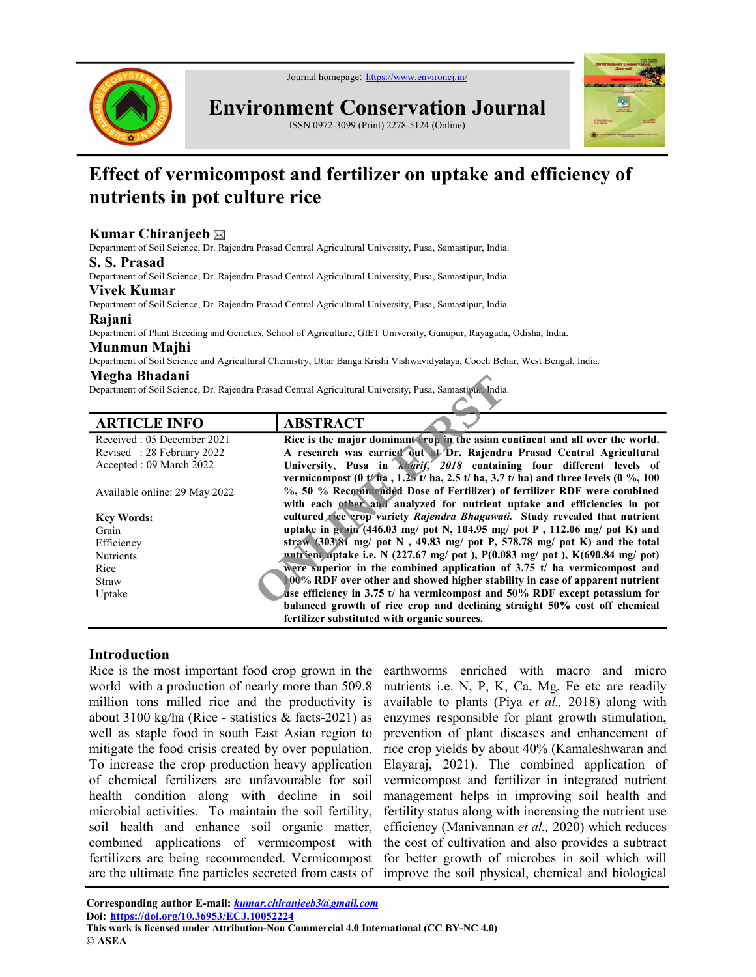

Environment Conservation Journal

ISSN 0972-3099 (Print) 2278-5124 (Online)



# Effect of vermicompost and fertilizer on uptake and efficiency of nutrients in pot culture rice

# Kumar Chiranieeb $\boxtimes$

Department of Soil Science, Dr. Rajendra Prasad Central Agricultural University, Pusa, Samastipur, India.

#### S. S. Prasad

Department of Soil Science, Dr. Rajendra Prasad Central Agricultural University, Pusa, Samastipur, India.

#### Vivek Kumar

Department of Soil Science, Dr. Rajendra Prasad Central Agricultural University, Pusa, Samastipur, India.

#### Rajani

Department of Plant Breeding and Genetics, School of Agriculture, GIET University, Gunupur, Rayagada, Odisha, India.

#### Munmun Majhi

Department of Soil Science and Agricultural Chemistry, Uttar Banga Krishi Vishwavidyalaya, Cooch Behar, West Bengal, India.

#### Megha Bhadani

| Megna Bnadani                 |                                                                                                                |
|-------------------------------|----------------------------------------------------------------------------------------------------------------|
|                               | Department of Soil Science, Dr. Rajendra Prasad Central Agricultural University, Pusa, Samasti fu, India.      |
| <b>ARTICLE INFO</b>           | <b>ABSTRACT</b>                                                                                                |
| Received: 05 December 2021    | Rice is the major dominant crop in the asian continent and all over the world.                                 |
| Revised: 28 February 2022     | A research was carried out at Dr. Rajendra Prasad Central Agricultural                                         |
| Accepted: 09 March 2022       | University, Pusa in <i>klarif, 2018</i> containing four different levels of                                    |
|                               | vermicompost (0 t/ha, $1.25$ t/ha, $2.5$ t/ha, $3.7$ t/ha) and three levels (0 %, 100                          |
| Available online: 29 May 2022 | %, 50 % Recommended Dose of Fertilizer) of fertilizer RDF were combined                                        |
|                               | with each other and analyzed for nutrient uptake and efficiencies in pot                                       |
| <b>Key Words:</b>             | cultured fice crop variety Rajendra Bhagawati. Study revealed that nutrient                                    |
| Grain                         | uptake in grain $(446.03 \text{ mg})$ pot N, 104.95 mg/ pot P, 112.06 mg/ pot K) and                           |
| Efficiency                    | straw $(303)81$ mg/ pot N, 49.83 mg/ pot P, 578.78 mg/ pot K) and the total                                    |
| <b>Nutrients</b>              | mutrient uptake i.e. N $(227.67 \text{ mg/ pot})$ , P $(0.083 \text{ mg/ pot})$ , K $(690.84 \text{ mg/ pot})$ |
| Rice                          | were superior in the combined application of 3.75 $t/$ ha vermicompost and                                     |
| Straw                         | 00% RDF over other and showed higher stability in case of apparent nutrient                                    |
| Uptake                        | use efficiency in 3.75 t/ ha vermicompost and 50% RDF except potassium for                                     |
|                               | balanced growth of rice crop and declining straight 50% cost off chemical                                      |
|                               | fertilizer substituted with organic sources.                                                                   |

# **Introduction**

Rice is the most important food crop grown in the earthworms enriched with macro and micro world with a production of nearly more than 509.8 million tons milled rice and the productivity is about 3100 kg/ha (Rice - statistics & facts-2021) as well as staple food in south East Asian region to mitigate the food crisis created by over population. To increase the crop production heavy application of chemical fertilizers are unfavourable for soil health condition along with decline in soil microbial activities. To maintain the soil fertility, soil health and enhance soil organic matter, combined applications of vermicompost with fertilizers are being recommended. Vermicompost are the ultimate fine particles secreted from casts of improve the soil physical, chemical and biological

nutrients i.e. N, P, K, Ca, Mg, Fe etc are readily available to plants (Piya et al., 2018) along with enzymes responsible for plant growth stimulation, prevention of plant diseases and enhancement of rice crop yields by about 40% (Kamaleshwaran and Elayaraj, 2021). The combined application of vermicompost and fertilizer in integrated nutrient management helps in improving soil health and fertility status along with increasing the nutrient use efficiency (Manivannan et al., 2020) which reduces the cost of cultivation and also provides a subtract for better growth of microbes in soil which will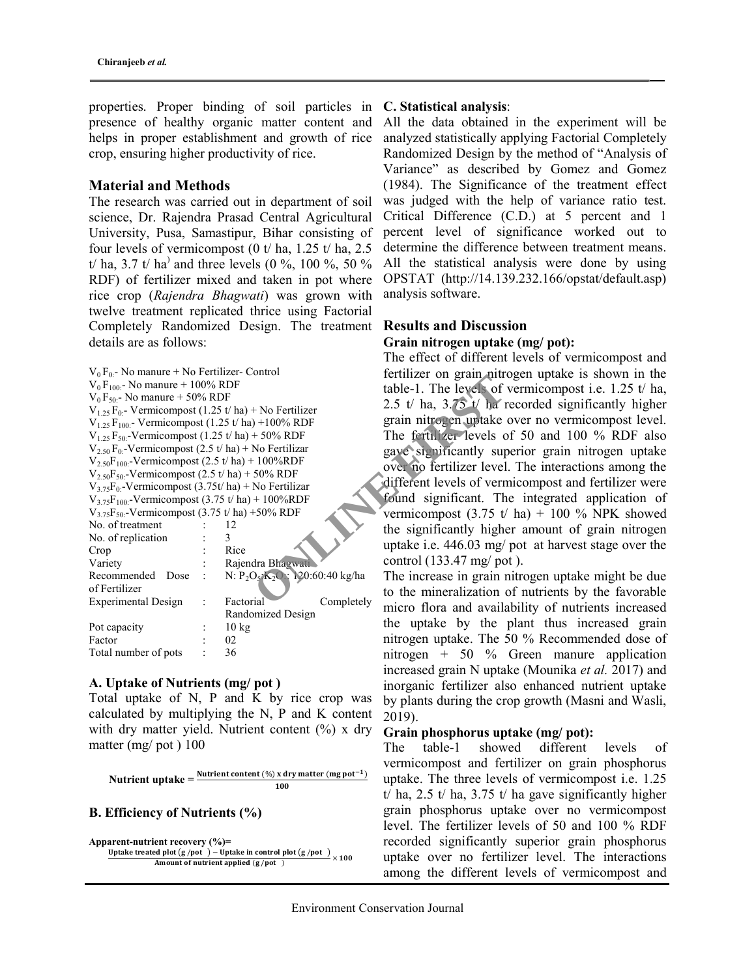properties. Proper binding of soil particles in C. Statistical analysis: presence of healthy organic matter content and helps in proper establishment and growth of rice crop, ensuring higher productivity of rice.

#### Material and Methods

The research was carried out in department of soil science, Dr. Rajendra Prasad Central Agricultural University, Pusa, Samastipur, Bihar consisting of four levels of vermicompost (0 t/ ha, 1.25 t/ ha, 2.5) t/ ha, 3.7 t/ ha<sup>)</sup> and three levels (0 %, 100 %, 50 % RDF) of fertilizer mixed and taken in pot where rice crop (Rajendra Bhagwati) was grown with twelve treatment replicated thrice using Factorial Completely Randomized Design. The treatment details are as follows:

| $V_0$ F <sub>0</sub> - No manure + No Fertilizer - Control<br>$V_0F_{100}$ - No manure + 100% RDF<br>$V_0 F_{50}$ - No manure + 50% RDF<br>$V_{1,25}F_{0}$ - Vermicompost (1.25 t/ ha) + No Fertilizer<br>$V_{1.25}F_{100}$ Vermicompost (1.25 t/ha) +100% RDF<br>$V_{1,25}F_{50}$ -Vermicompost (1.25 t/ ha) + 50% RDF<br>$V_{2.50}F_{0}$ -Vermicompost (2.5 t/ ha) + No Fertilizar<br>$V_{2.50}F_{100}$ -Vermicompost (2.5 t/ ha) + 100%RDF<br>$V_{2.50}F_{50}$ -Vermicompost (2.5 t/ ha) + 50% RDF<br>$V_{3.75}F_0$ -Vermicompost (3.75t/ ha) + No Fertilizar<br>$V_{3.75}F_{100}$ -Vermicompost (3.75 t/ ha) + 100%RDF |                                    |            | fertilizer on grain nitr<br>table-1. The levels of<br>2.5 t/ ha, $3.75$ t/ ha<br>grain nitrogen uptake<br>The fertilizer levels o<br>gave significantly sup<br>over no fertilizer level<br>different levels of verr<br>found significant. The |
|----------------------------------------------------------------------------------------------------------------------------------------------------------------------------------------------------------------------------------------------------------------------------------------------------------------------------------------------------------------------------------------------------------------------------------------------------------------------------------------------------------------------------------------------------------------------------------------------------------------------------|------------------------------------|------------|-----------------------------------------------------------------------------------------------------------------------------------------------------------------------------------------------------------------------------------------------|
| $V_{3.75}F_{50}$ -Vermicompost (3.75 t/ ha) +50% RDF                                                                                                                                                                                                                                                                                                                                                                                                                                                                                                                                                                       |                                    |            | vermicompost $(3.75 \text{ t})$                                                                                                                                                                                                               |
| No. of treatment                                                                                                                                                                                                                                                                                                                                                                                                                                                                                                                                                                                                           | 12                                 |            | the significantly high                                                                                                                                                                                                                        |
| No. of replication                                                                                                                                                                                                                                                                                                                                                                                                                                                                                                                                                                                                         | $\mathcal{E}$                      |            | uptake i.e. 446.03 mg/                                                                                                                                                                                                                        |
| Crop                                                                                                                                                                                                                                                                                                                                                                                                                                                                                                                                                                                                                       | Rice                               |            |                                                                                                                                                                                                                                               |
| Variety                                                                                                                                                                                                                                                                                                                                                                                                                                                                                                                                                                                                                    | Rajendra Bhagwati                  |            | control $(133.47 \text{ mg}/ \text{pc})$                                                                                                                                                                                                      |
| Recommended Dose                                                                                                                                                                                                                                                                                                                                                                                                                                                                                                                                                                                                           | N: $P_2O_5(K_2O: 120:60:40 kg/ha)$ |            | The increase in grain                                                                                                                                                                                                                         |
| of Fertilizer                                                                                                                                                                                                                                                                                                                                                                                                                                                                                                                                                                                                              |                                    |            | to the mineralization                                                                                                                                                                                                                         |
| Experimental Design                                                                                                                                                                                                                                                                                                                                                                                                                                                                                                                                                                                                        | Factorial                          | Completely | micro flora and availa                                                                                                                                                                                                                        |
|                                                                                                                                                                                                                                                                                                                                                                                                                                                                                                                                                                                                                            | Randomized Design                  |            |                                                                                                                                                                                                                                               |
| Pot capacity                                                                                                                                                                                                                                                                                                                                                                                                                                                                                                                                                                                                               | $10 \text{ kg}$                    |            | the uptake by the                                                                                                                                                                                                                             |
| Factor                                                                                                                                                                                                                                                                                                                                                                                                                                                                                                                                                                                                                     | 02                                 |            | nitrogen uptake. The                                                                                                                                                                                                                          |
| Total number of pots                                                                                                                                                                                                                                                                                                                                                                                                                                                                                                                                                                                                       | 36                                 |            | nitrogen + 50 $\%$                                                                                                                                                                                                                            |
|                                                                                                                                                                                                                                                                                                                                                                                                                                                                                                                                                                                                                            |                                    |            |                                                                                                                                                                                                                                               |

# A. Uptake of Nutrients (mg/ pot )

Total uptake of N, P and K by rice crop was calculated by multiplying the N, P and K content with dry matter yield. Nutrient content  $(\%)$  x dry matter (mg/ pot ) 100

Nutrient uptake =  $\frac{\text{Nutrient content } (\%) \times \text{dry matter (mg pot}^{-1})}{\frac{100}{100}}$ 100

#### B. Efficiency of Nutrients (%)

Apparent-nutrient recovery  $(\% )$ =

Uptake treated plot  $(g$  /pot  $)$  – Uptake in control plot  $(g$  /pot  $)$   $\times$  100 Amount of nutrient applied (g/pot)

All the data obtained in the experiment will be analyzed statistically applying Factorial Completely Randomized Design by the method of "Analysis of Variance" as described by Gomez and Gomez (1984). The Significance of the treatment effect was judged with the help of variance ratio test. Critical Difference (C.D.) at 5 percent and 1 percent level of significance worked out to determine the difference between treatment means. All the statistical analysis were done by using OPSTAT (http://14.139.232.166/opstat/default.asp) analysis software.

# Results and Discussion

# Grain nitrogen uptake (mg/ pot):

The effect of different levels of vermicompost and fertilizer on grain nitrogen uptake is shown in the table-1. The levels of vermicompost i.e. 1.25 t/ ha, 2.5 t/ ha,  $3.75$  t/ ha recorded significantly higher grain nitrogen uptake over no vermicompost level. The fertilizer levels of 50 and 100 % RDF also gave significantly superior grain nitrogen uptake over no fertilizer level. The interactions among the different levels of vermicompost and fertilizer were found significant. The integrated application of vermicompost  $(3.75 \text{ t/ha}) + 100 \%$  NPK showed the significantly higher amount of grain nitrogen uptake i.e. 446.03 mg/ pot at harvest stage over the control (133.47 mg/ pot ).

The increase in grain nitrogen uptake might be due to the mineralization of nutrients by the favorable micro flora and availability of nutrients increased the uptake by the plant thus increased grain nitrogen uptake. The 50 % Recommended dose of nitrogen + 50 % Green manure application increased grain N uptake (Mounika et al. 2017) and inorganic fertilizer also enhanced nutrient uptake by plants during the crop growth (Masni and Wasli, 2019).

# Grain phosphorus uptake (mg/ pot):

The table-1 showed different levels of vermicompost and fertilizer on grain phosphorus uptake. The three levels of vermicompost i.e. 1.25 t/ ha, 2.5 t/ ha, 3.75 t/ ha gave significantly higher grain phosphorus uptake over no vermicompost level. The fertilizer levels of 50 and 100 % RDF recorded significantly superior grain phosphorus uptake over no fertilizer level. The interactions among the different levels of vermicompost and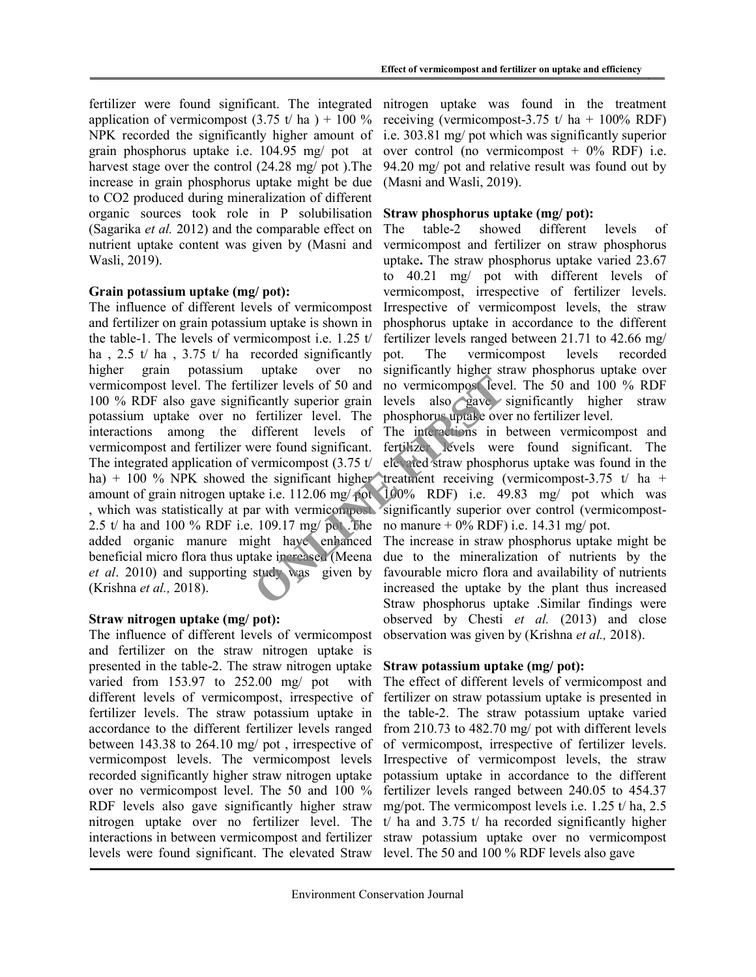fertilizer were found significant. The integrated application of vermicompost  $(3.75 \text{ t/ha}) + 100\%$ NPK recorded the significantly higher amount of grain phosphorus uptake i.e. 104.95 mg/ pot at harvest stage over the control (24.28 mg/ pot ).The increase in grain phosphorus uptake might be due to CO2 produced during mineralization of different organic sources took role in P solubilisation (Sagarika et al. 2012) and the comparable effect on nutrient uptake content was given by (Masni and Wasli, 2019).

# Grain potassium uptake (mg/ pot):

The influence of different levels of vermicompost and fertilizer on grain potassium uptake is shown in the table-1. The levels of vermicompost i.e. 1.25 t/ ha,  $2.5 \t{t}$  ha,  $3.75 \t{t}$  ha recorded significantly higher grain potassium uptake over no vermicompost level. The fertilizer levels of 50 and 100 % RDF also gave significantly superior grain potassium uptake over no fertilizer level. The interactions among the different levels of vermicompost and fertilizer were found significant. The integrated application of vermicompost (3.75 t/ ha) + 100  $\%$  NPK showed the significant higher amount of grain nitrogen uptake i.e. 112.06 mg/ pot , which was statistically at par with vermicompost significantly superior over control (vermicompost-2.5 t/ ha and 100 % RDF i.e. 109.17 mg/ pot .The added organic manure might have enhanced beneficial micro flora thus uptake increased (Meena et al. 2010) and supporting study was given by (Krishna et al., 2018). ilizer levels of 50 and no vermicompose levels<br>
cantly superior grain levels also gave<br>
fertilizer level. The phosphorus upake ove<br>
different levels of The interactions in<br>
vermicompost (3.75 t/ ele and straw phosph<br>
the s

# Straw nitrogen uptake (mg/ pot):

The influence of different levels of vermicompost and fertilizer on the straw nitrogen uptake is presented in the table-2. The straw nitrogen uptake varied from 153.97 to 252.00 mg/ pot with different levels of vermicompost, irrespective of fertilizer levels. The straw potassium uptake in accordance to the different fertilizer levels ranged between 143.38 to 264.10 mg/ pot , irrespective of vermicompost levels. The vermicompost levels recorded significantly higher straw nitrogen uptake over no vermicompost level. The 50 and 100 % RDF levels also gave significantly higher straw nitrogen uptake over no fertilizer level. The interactions in between vermicompost and fertilizer levels were found significant. The elevated Straw level. The 50 and 100 % RDF levels also gave

nitrogen uptake was found in the treatment receiving (vermicompost-3.75 t/ ha +  $100\%$  RDF) i.e. 303.81 mg/ pot which was significantly superior over control (no vermicompost  $+ 0\%$  RDF) i.e. 94.20 mg/ pot and relative result was found out by (Masni and Wasli, 2019).

# Straw phosphorus uptake (mg/ pot):

The table-2 showed different levels of vermicompost and fertilizer on straw phosphorus uptake. The straw phosphorus uptake varied 23.67 to 40.21 mg/ pot with different levels of vermicompost, irrespective of fertilizer levels. Irrespective of vermicompost levels, the straw phosphorus uptake in accordance to the different fertilizer levels ranged between 21.71 to 42.66 mg/ pot. The vermicompost levels recorded significantly higher straw phosphorus uptake over no vermicompost level. The 50 and 100 % RDF levels also gave significantly higher straw phosphorus uptake over no fertilizer level.

The interactions in between vermicompost and fertilizer levels were found significant. The elevated straw phosphorus uptake was found in the treatment receiving (vermicompost-3.75 t/ ha + 100% RDF) i.e. 49.83 mg/ pot which was no manure  $+$  0% RDF) i.e. 14.31 mg/ pot.

The increase in straw phosphorus uptake might be due to the mineralization of nutrients by the favourable micro flora and availability of nutrients increased the uptake by the plant thus increased Straw phosphorus uptake .Similar findings were observed by Chesti et al. (2013) and close observation was given by (Krishna et al., 2018).

# Straw potassium uptake (mg/ pot):

The effect of different levels of vermicompost and fertilizer on straw potassium uptake is presented in the table-2. The straw potassium uptake varied from 210.73 to 482.70 mg/ pot with different levels of vermicompost, irrespective of fertilizer levels. Irrespective of vermicompost levels, the straw potassium uptake in accordance to the different fertilizer levels ranged between 240.05 to 454.37 mg/pot. The vermicompost levels i.e. 1.25 t/ ha, 2.5 t/ ha and  $3.75$  t/ ha recorded significantly higher straw potassium uptake over no vermicompost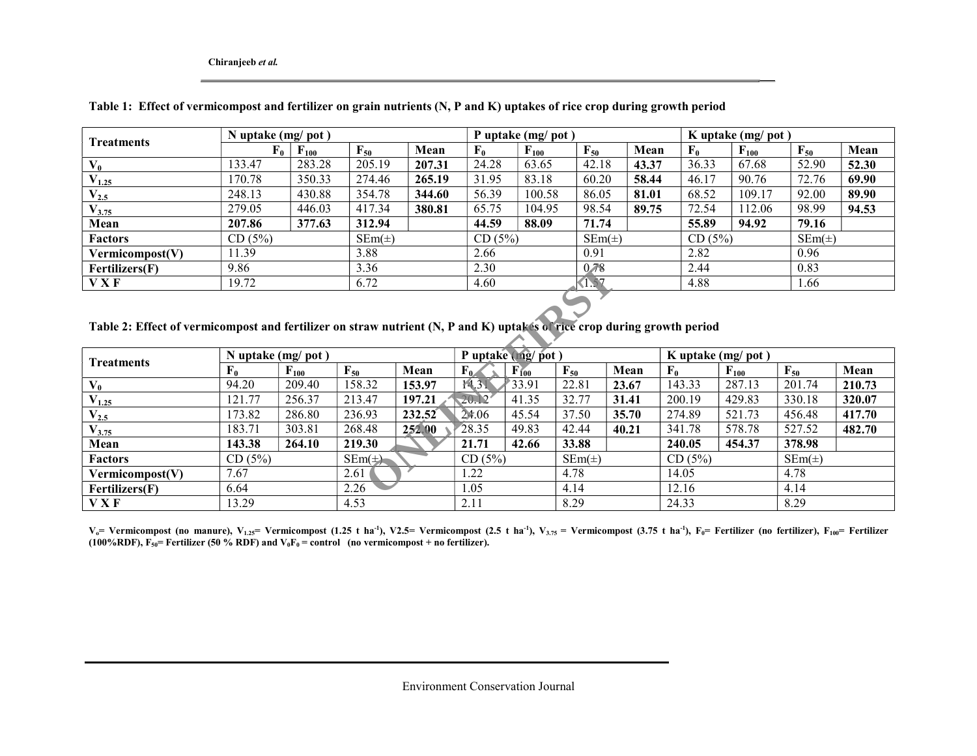Chiranjeeb et al.

| Treatments<br>$V_0$<br>$V_{1.25}$<br>$V_{2.5}$ | N uptake (mg/pot) |           |            |        |             | P uptake (mg/ pot) |            |       |        | K uptake $(mg/pot)$ |            |       |
|------------------------------------------------|-------------------|-----------|------------|--------|-------------|--------------------|------------|-------|--------|---------------------|------------|-------|
|                                                | ${\bf F_0}$       | $F_{100}$ | $F_{50}$   | Mean   | ${\bf F_0}$ | $F_{100}$          | $F_{50}$   | Mean  | $F_0$  | $F_{100}$           | $F_{50}$   | Mean  |
|                                                | 133.47            | 283.28    | 205.19     | 207.31 | 24.28       | 63.65              | 42.18      | 43.37 | 36.33  | 67.68               | 52.90      | 52.30 |
|                                                | 170.78            | 350.33    | 274.46     | 265.19 | 31.95       | 83.18              | 60.20      | 58.44 | 46.17  | 90.76               | 72.76      | 69.90 |
|                                                | 248.13            | 430.88    | 354.78     | 344.60 | 56.39       | 100.58             | 86.05      | 81.01 | 68.52  | 109.17              | 92.00      | 89.90 |
| $V_{3.75}$                                     | 279.05            | 446.03    | 417.34     | 380.81 | 65.75       | 104.95             | 98.54      | 89.75 | 72.54  | 112.06              | 98.99      | 94.53 |
| Mean                                           | 207.86            | 377.63    | 312.94     |        | 44.59       | 88.09              | 71.74      |       | 55.89  | 94.92               | 79.16      |       |
| <b>Factors</b>                                 | CD(5%)            |           | $SEm(\pm)$ |        | CD(5%)      |                    | $SEm(\pm)$ |       | CD(5%) |                     | $SEm(\pm)$ |       |
| Vermicompost(V)                                | 11.39             |           | 3.88       |        | 2.66        |                    | 0.91       |       | 2.82   |                     | 0.96       |       |
| Fertilizers(F)                                 | 9.86              |           | 3.36       |        | 2.30        |                    | 0.78       |       | 2.44   |                     | 0.83       |       |
| V X F                                          | 19.72             |           | 6.72       |        | 4.60        |                    | (1.57)     |       | 4.88   |                     | 1.66       |       |

Table 1: Effect of vermicompost and fertilizer on grain nutrients (N, P and K) uptakes of rice crop during growth period

Table 2: Effect of vermicompost and fertilizer on straw nutrient (N, P and K) uptakes of rice crop during growth period

| Fertilizers(F)                                                                                                          | 9.86        |                     | 3.36              |        | 2.30   |                   | 0.78              |       | 2.44        |                   | 0.83              |        |
|-------------------------------------------------------------------------------------------------------------------------|-------------|---------------------|-------------------|--------|--------|-------------------|-------------------|-------|-------------|-------------------|-------------------|--------|
| <b>VXF</b>                                                                                                              | 19.72       |                     | 6.72              |        | 4.60   |                   | (1.57)            |       | 4.88        |                   | 1.66              |        |
|                                                                                                                         |             |                     |                   |        |        |                   |                   |       |             |                   |                   |        |
| Table 2: Effect of vermicompost and fertilizer on straw nutrient (N, P and K) uptakes of rice crop during growth period |             |                     |                   |        |        |                   |                   |       |             |                   |                   |        |
|                                                                                                                         |             | N uptake $(mg/pot)$ |                   |        |        | P uptake (mg/pot) |                   |       |             | K uptake (mg/pot) |                   |        |
| Treatments                                                                                                              | ${\bf F}_0$ | $F_{100}$           | $\mathbf{F}_{50}$ | Mean   | $F_0$  | $F_{100}$         | $\mathbf{F}_{50}$ | Mean  | ${\bf F}_0$ | $F_{100}$         | $\mathbf{F}_{50}$ | Mean   |
| $V_0$                                                                                                                   | 94.20       | 209.40              | 158.32            | 153.97 | 14.31  | 33.91             | 22.81             | 23.67 | 143.33      | 287.13            | 201.74            | 210.73 |
| $V_{1.25}$                                                                                                              | 121.77      | 256.37              | 213.47            | 197.21 | 20.12  | 41.35             | 32.77             | 31.41 | 200.19      | 429.83            | 330.18            | 320.07 |
| $\rm V_{2.5}$                                                                                                           | 173.82      | 286.80              | 236.93            | 232,52 | 24.06  | 45.54             | 37.50             | 35.70 | 274.89      | 521.73            | 456.48            | 417.70 |
| $\mathrm{V}_{3.75}$                                                                                                     | 183.71      | 303.81              | 268.48            | 252.00 | 28.35  | 49.83             | 42.44             | 40.21 | 341.78      | 578.78            | 527.52            | 482.70 |
| Mean                                                                                                                    | 143.38      | 264.10              | 219.30            |        | 21.71  | 42.66             | 33.88             |       | 240.05      | 454.37            | 378.98            |        |
| Factors                                                                                                                 | CD(5%)      |                     | $SEm(\neq)$       |        | CD(5%) |                   | $SEm(\pm)$        |       | CD (5%)     |                   | $SEm(\pm)$        |        |
| Vermicompost(V)                                                                                                         | 7.67        |                     | 2.61              |        | 1.22   |                   | 4.78              |       | 14.05       |                   | 4.78              |        |
| Fertilizers(F)                                                                                                          | 6.64        |                     | 2.26              |        | 1.05   |                   | 4.14              |       | 12.16       |                   | 4.14              |        |
| <b>VXF</b>                                                                                                              | 13.29       |                     | 4.53              |        | 2.11   |                   | 8.29              |       | 24.33       |                   | 8.29              |        |

 $V_o$ = Vermicompost (no manure), V<sub>1.25</sub>= Vermicompost (1.25 t ha<sup>-1</sup>), V2.5= Vermicompost (2.5 t ha<sup>-1</sup>), V<sub>3.75</sub> = Vermicompost (3.75 t ha<sup>-1</sup>), F<sub>0</sub>= Fertilizer (no fertilizer), F<sub>100</sub>= Fertilizer (100%RDF),  $F_{50}$  = Fertilizer (50 % RDF) and  $V_0F_0$  = control (no vermicompost + no fertilizer).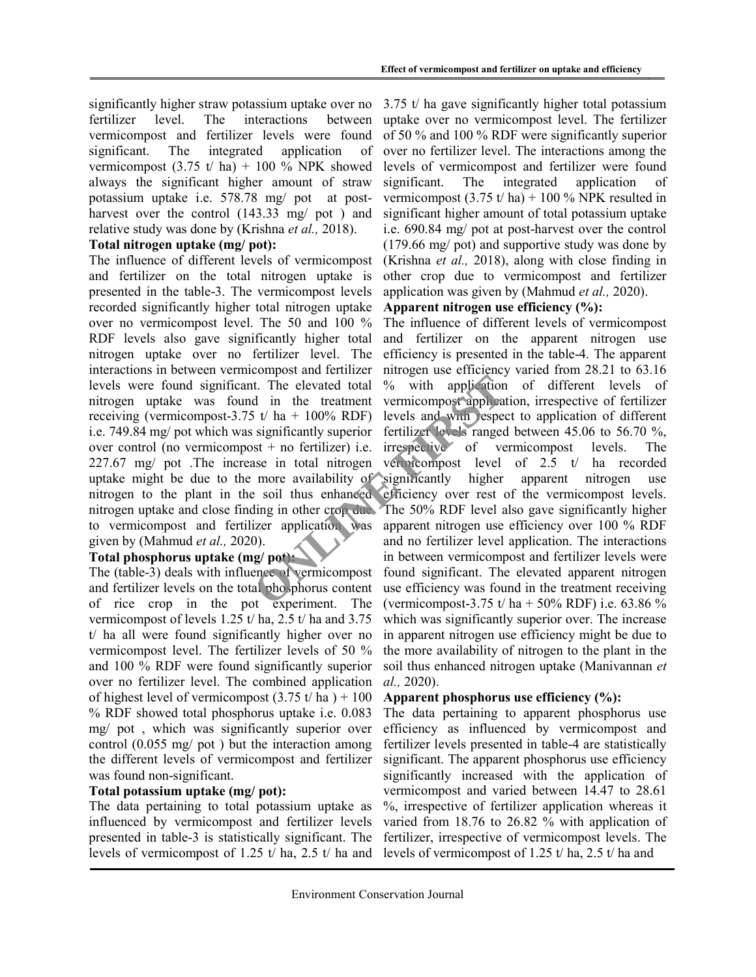significantly higher straw potassium uptake over no fertilizer level. The interactions between vermicompost and fertilizer levels were found significant. The integrated application of vermicompost  $(3.75 \text{ t/ha}) + 100 \%$  NPK showed always the significant higher amount of straw potassium uptake i.e. 578.78 mg/ pot at postharvest over the control (143.33 mg/ pot) and relative study was done by (Krishna et al., 2018).

#### Total nitrogen uptake (mg/ pot):

The influence of different levels of vermicompost and fertilizer on the total nitrogen uptake is presented in the table-3. The vermicompost levels recorded significantly higher total nitrogen uptake over no vermicompost level. The 50 and 100 % RDF levels also gave significantly higher total nitrogen uptake over no fertilizer level. The interactions in between vermicompost and fertilizer levels were found significant. The elevated total nitrogen uptake was found in the treatment receiving (vermicompost-3.75 t/ ha + 100% RDF) i.e. 749.84 mg/ pot which was significantly superior over control (no vermicompost + no fertilizer) i.e. 227.67 mg/ pot .The increase in total nitrogen uptake might be due to the more availability of significantly higher apparent nitrogen use nitrogen to the plant in the soil thus enhanced nitrogen uptake and close finding in other crop due The 50% RDF level also gave significantly higher to vermicompost and fertilizer application was apparent nitrogen use efficiency over 100 % RDF given by (Mahmud et al., 2020).

# Total phosphorus uptake (mg/ pot):

The (table-3) deals with influence of vermicompost and fertilizer levels on the total phosphorus content of rice crop in the pot experiment. The vermicompost of levels 1.25 t/ ha, 2.5 t/ ha and 3.75 t/ ha all were found significantly higher over no vermicompost level. The fertilizer levels of 50 % and 100 % RDF were found significantly superior over no fertilizer level. The combined application of highest level of vermicompost  $(3.75 \text{ t/ha}) + 100$ % RDF showed total phosphorus uptake i.e. 0.083 mg/ pot , which was significantly superior over control (0.055 mg/ pot ) but the interaction among the different levels of vermicompost and fertilizer was found non-significant.

# Total potassium uptake (mg/ pot):

The data pertaining to total potassium uptake as influenced by vermicompost and fertilizer levels presented in table-3 is statistically significant. The levels of vermicompost of 1.25 t/ ha, 2.5 t/ ha and

3.75 t/ ha gave significantly higher total potassium uptake over no vermicompost level. The fertilizer of 50 % and 100 % RDF were significantly superior over no fertilizer level. The interactions among the levels of vermicompost and fertilizer were found significant. The integrated application of vermicompost  $(3.75 t/ha) + 100 %$  NPK resulted in significant higher amount of total potassium uptake i.e. 690.84 mg/ pot at post-harvest over the control (179.66 mg/ pot) and supportive study was done by (Krishna et al., 2018), along with close finding in other crop due to vermicompost and fertilizer application was given by (Mahmud et al., 2020).

# Apparent nitrogen use efficiency  $(\%):$

The influence of different levels of vermicompost and fertilizer on the apparent nitrogen use efficiency is presented in the table-4. The apparent nitrogen use efficiency varied from 28.21 to 63.16 % with application of different levels of vermicompost application, irrespective of fertilizer levels and with respect to application of different fertilizer levels ranged between 45.06 to 56.70 %, irrespective of vermicompost levels. The vermicompost level of 2.5 t/ ha recorded efficiency over rest of the vermicompost levels. and no fertilizer level application. The interactions in between vermicompost and fertilizer levels were found significant. The elevated apparent nitrogen use efficiency was found in the treatment receiving (vermicompost-3.75 t/ ha + 50% RDF) i.e. 63.86 % which was significantly superior over. The increase in apparent nitrogen use efficiency might be due to the more availability of nitrogen to the plant in the soil thus enhanced nitrogen uptake (Manivannan et al., 2020). It. The elevated total % with application<br>
d in the treatment vermicompost application<br>
is t/ ha + 100% RDF) levels and with espective<br>
significantly superior fertilizer levels ranged<br>
significantly superior fertilizer le

# Apparent phosphorus use efficiency (%):

The data pertaining to apparent phosphorus use efficiency as influenced by vermicompost and fertilizer levels presented in table-4 are statistically significant. The apparent phosphorus use efficiency significantly increased with the application of vermicompost and varied between 14.47 to 28.61 %, irrespective of fertilizer application whereas it varied from 18.76 to 26.82 % with application of fertilizer, irrespective of vermicompost levels. The levels of vermicompost of 1.25 t/ ha, 2.5 t/ ha and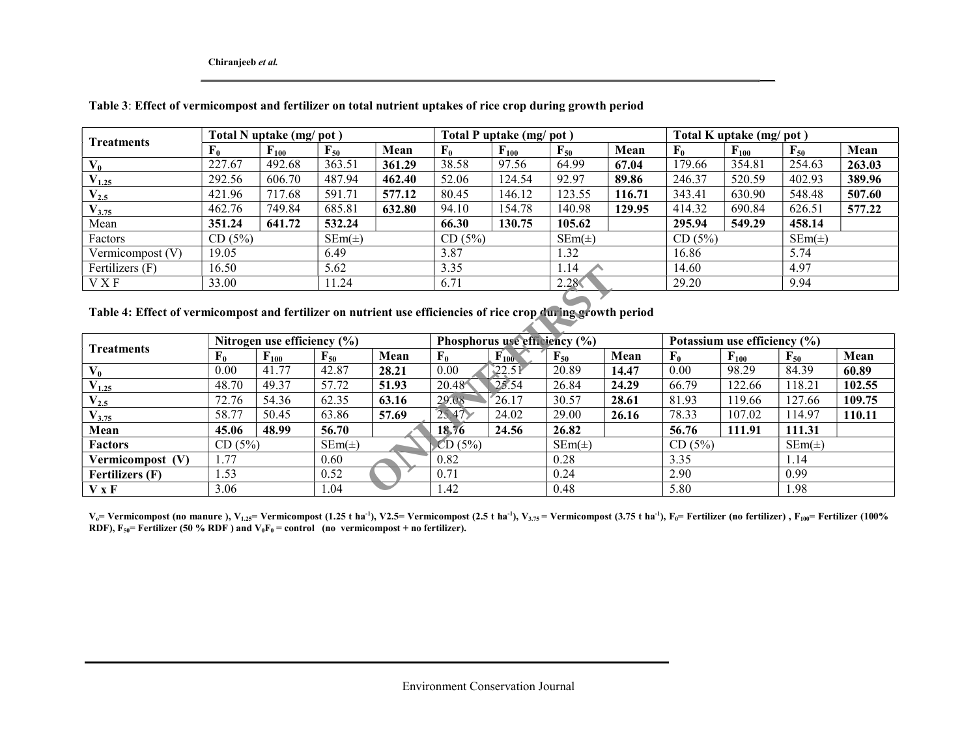Chiranjeeb et al.

| <b>Treatments</b> | Total N uptake (mg/pot) |                    |                   | Total P uptake (mg/pot) |                |           |            | Total K uptake (mg/pot) |             |           |            |        |
|-------------------|-------------------------|--------------------|-------------------|-------------------------|----------------|-----------|------------|-------------------------|-------------|-----------|------------|--------|
|                   | r <sub>0</sub>          | $\mathbf{F}_{100}$ | $\mathbf{F}_{50}$ | Mean                    | $\mathbf{F_0}$ | $F_{100}$ | $F_{50}$   | Mean                    | ${\bf F_0}$ | $F_{100}$ | $F_{50}$   | Mean   |
| $V_0$             | 227.67                  | 492.68             | 363.51            | 361.29                  | 38.58          | 97.56     | 64.99      | 67.04                   | 179.66      | 354.81    | 254.63     | 263.03 |
| $V_{1.25}$        | 292.56                  | 606.70             | 487.94            | 462.40                  | 52.06          | 124.54    | 92.97      | 89.86                   | 246.37      | 520.59    | 402.93     | 389.96 |
| $V_{2.5}$         | 421.96                  | 717.68             | 591.71            | 577.12                  | 80.45          | 146.12    | 123.55     | 116.71                  | 343.41      | 630.90    | 548.48     | 507.60 |
| $V_{3.75}$        | 462.76                  | 749.84             | 685.81            | 632.80                  | 94.10          | 154.78    | 140.98     | 129.95                  | 414.32      | 690.84    | 626.51     | 577.22 |
| Mean              | 351.24                  | 641.72             | 532.24            |                         | 66.30          | 130.75    | 105.62     |                         | 295.94      | 549.29    | 458.14     |        |
| Factors           | CD(5%)                  |                    | $SEm(\pm)$        |                         | CD(5%)         |           | $SEm(\pm)$ |                         | CD(5%)      |           | $SEm(\pm)$ |        |
| Vermicompost (V)  | 19.05                   |                    | 6.49              |                         | 3.87           |           | 1.32       |                         | 16.86       |           | 5.74       |        |
| Fertilizers (F)   | 16.50                   |                    | 5.62              |                         | 3.35           |           | 1.14       |                         | 14.60       |           | 4.97       |        |
| V X F             | 33.00                   |                    | 11.24             |                         | 6.71           |           | 2.28       |                         | 29.20       |           | 9.94       |        |

#### Table 3: Effect of vermicompost and fertilizer on total nutrient uptakes of rice crop during growth period

# Table 4: Effect of vermicompost and fertilizer on nutrient use efficiencies of rice crop during growth period

| Fertilizers (F)                                                                                               | 16.50       |                                 | 5.62       |       | 3.35          |                               | 1.14       |       | 14.60  |                              | 4.97              |        |
|---------------------------------------------------------------------------------------------------------------|-------------|---------------------------------|------------|-------|---------------|-------------------------------|------------|-------|--------|------------------------------|-------------------|--------|
| V X F                                                                                                         | 33.00       |                                 | 11.24      |       | 6.71          |                               | 2.28       |       | 29.20  |                              | 9.94              |        |
| Table 4: Effect of vermicompost and fertilizer on nutrient use efficiencies of rice crop during growth period |             |                                 |            |       |               |                               |            |       |        |                              |                   |        |
| <b>Treatments</b>                                                                                             |             | Nitrogen use efficiency $(\% )$ |            |       |               | Phosphorus use efficiency (%) |            |       |        | Potassium use efficiency (%) |                   |        |
|                                                                                                               | ${\bf F_0}$ | $\mathbf{F}_{100}$              | $F_{50}$   | Mean  | ${\bf F_0}$   | $F_{100}$                     | $F_{50}$   | Mean  | $F_0$  | $F_{100}$                    | $\mathbf{F}_{50}$ | Mean   |
| $V_0$                                                                                                         | 0.00        | 41.77                           | 42.87      | 28.21 | 0.00          | 22.51                         | 20.89      | 14.47 | 0.00   | 98.29                        | 84.39             | 60.89  |
| $\mathrm{V_{1.25}}$                                                                                           | 48.70       | 49.37                           | 57.72      | 51.93 | 20.48         | 25.54                         | 26.84      | 24.29 | 66.79  | 122.66                       | 118.21            | 102.55 |
| $\mathrm{V}_{2.5}$                                                                                            | 72.76       | 54.36                           | 62.35      | 63.16 | 29.08         | "26.17"                       | 30.57      | 28.61 | 81.93  | 119.66                       | 127.66            | 109.75 |
| $\mathrm{V}_{3.75}$                                                                                           | 58.77       | 50.45                           | 63.86      | 57.69 | $25.47\times$ | 24.02                         | 29.00      | 26.16 | 78.33  | 107.02                       | 114.97            | 110.11 |
| Mean                                                                                                          | 45.06       | 48.99                           | 56.70      |       | 18.76         | 24.56                         | 26.82      |       | 56.76  | 111.91                       | 111.31            |        |
| <b>Factors</b>                                                                                                | CD(5%)      |                                 | $SEm(\pm)$ |       | CD(5%)        |                               | $SEm(\pm)$ |       | CD(5%) |                              | $SEm(\pm)$        |        |
| Vermicompost (V)                                                                                              | 1.77        |                                 | 0.60       |       | 0.82          |                               | 0.28       |       | 3.35   |                              | 1.14              |        |
| <b>Fertilizers</b> (F)                                                                                        | 1.53        |                                 | 0.52       |       | 0.71          |                               | 0.24       |       | 2.90   |                              | 0.99              |        |
| V X F                                                                                                         | 3.06        |                                 | 1.04       |       | 1.42          |                               | 0.48       |       | 5.80   |                              | 1.98              |        |

V<sub>o</sub>= Vermicompost (no manure ), V<sub>1.25</sub>= Vermicompost (1.25 t ha<sup>-1</sup>), V2.5= Vermicompost (2.5 t ha<sup>-1</sup>), V3.75 = Vermicompost (3.75 t ha<sup>-1</sup>), F<sub>0</sub>= Fertilizer (no fertilizer) , F<sub>100</sub>= Fertilizer (100% RDF),  $F_{50}$ = Fertilizer (50 % RDF) and  $V_0F_0$  = control (no vermicompost + no fertilizer).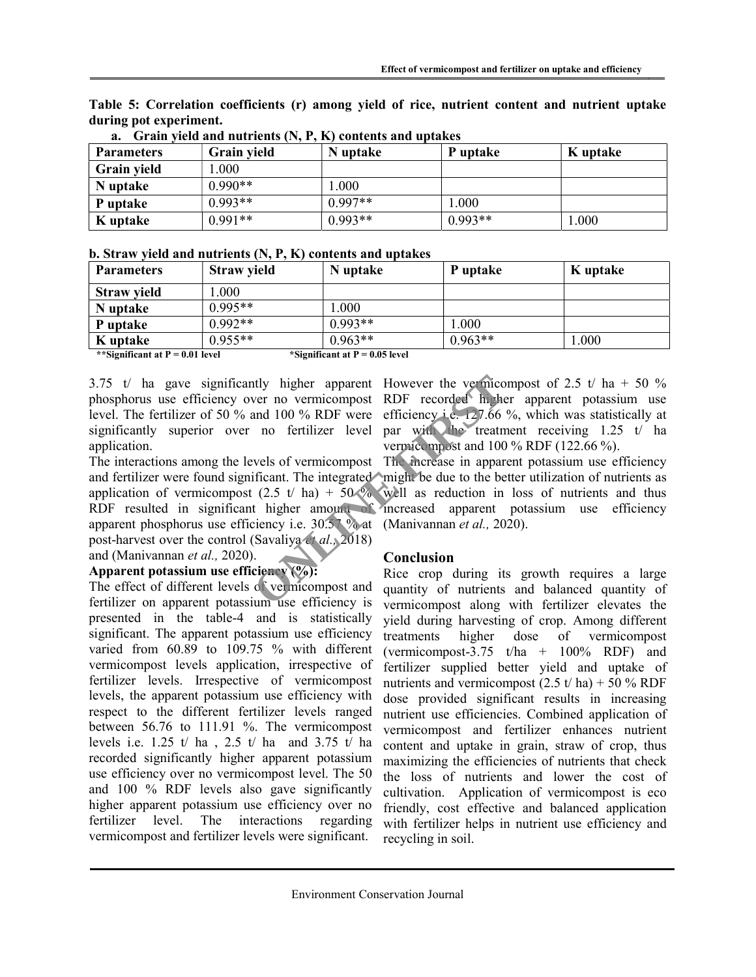|                    | Grain yield and nutrients $(N, P, K)$ contents and uptakes |           |           |          |  |  |  |  |  |  |
|--------------------|------------------------------------------------------------|-----------|-----------|----------|--|--|--|--|--|--|
| <b>Parameters</b>  | <b>Grain yield</b>                                         | N uptake  | P uptake  | K uptake |  |  |  |  |  |  |
| <b>Grain yield</b> | 1.000                                                      |           |           |          |  |  |  |  |  |  |
| N uptake           | $0.990**$                                                  | .000      |           |          |  |  |  |  |  |  |
| P uptake           | $0.993**$                                                  | $0.997**$ | 1.000     |          |  |  |  |  |  |  |
| K uptake           | $0.991**$                                                  | $0.993**$ | $0.993**$ | 1.000    |  |  |  |  |  |  |

Table 5: Correlation coefficients (r) among yield of rice, nutrient content and nutrient uptake during pot experiment.

|  |  | b. Straw yield and nutrients (N, P, K) contents and uptakes |  |
|--|--|-------------------------------------------------------------|--|
|  |  |                                                             |  |

| <b>Parameters</b>  | <b>Straw yield</b> | N uptake  | P uptake  | K uptake |
|--------------------|--------------------|-----------|-----------|----------|
| <b>Straw yield</b> | .000               |           |           |          |
| N uptake           | $0.995**$          | .000      |           |          |
| P uptake           | $0.992**$          | $0.993**$ | 000.1     |          |
| K uptake           | $0.955**$          | $0.963**$ | $0.963**$ | 1.000    |

\*\*Significant at  $P = 0.01$  level \*Significant at  $P = 0.05$  level

significantly superior over no fertilizer level application.

The interactions among the levels of vermicompost The increase in apparent potassium use efficiency and fertilizer were found significant. The integrated might be due to the better utilization of nutrients as application of vermicompost  $(2.5 \t{t} \text{ ha}) + 50\%$  well as reduction in loss of nutrients and thus RDF resulted in significant higher amount of increased apparent potassium use efficiency apparent phosphorus use efficiency i.e. 30.57 % at (Manivannan et al., 2020). post-harvest over the control (Savaliya et al., 2018) and (Manivannan et al., 2020). The state of the termicompost RDF recorded higher<br>and 100 % RDF were efficiency i.e. 127.66<br>no fertilizer level par with the treatm<br>vermicompost and 100<br>wels of vermicompost The increase in appar<br>ificant. The integrated mi

# Apparent potassium use efficiency  $(\%):$

The effect of different levels of vermicompost and fertilizer on apparent potassium use efficiency is presented in the table-4 and is statistically significant. The apparent potassium use efficiency varied from 60.89 to 109.75 % with different vermicompost levels application, irrespective of fertilizer levels. Irrespective of vermicompost levels, the apparent potassium use efficiency with respect to the different fertilizer levels ranged between 56.76 to 111.91 %. The vermicompost levels i.e. 1.25 t/ ha, 2.5 t/ ha and 3.75  $t/$  ha recorded significantly higher apparent potassium use efficiency over no vermicompost level. The 50 and 100 % RDF levels also gave significantly higher apparent potassium use efficiency over no fertilizer level. The interactions regarding vermicompost and fertilizer levels were significant.

3.75 t/ ha gave significantly higher apparent However the vermicompost of 2.5 t/ ha + 50 % phosphorus use efficiency over no vermicompost RDF recorded higher apparent potassium use level. The fertilizer of 50 % and 100 % RDF were efficiency i.e. 127.66 %, which was statistically at par with the treatment receiving 1.25 t/ ha vermicompost and 100 % RDF (122.66 %).

# Conclusion

Rice crop during its growth requires a large quantity of nutrients and balanced quantity of vermicompost along with fertilizer elevates the yield during harvesting of crop. Among different treatments higher dose of vermicompost (vermicompost-3.75  $t/ha + 100%$  RDF) and fertilizer supplied better yield and uptake of nutrients and vermicompost  $(2.5 t/ h a) + 50 %$  RDF dose provided significant results in increasing nutrient use efficiencies. Combined application of vermicompost and fertilizer enhances nutrient content and uptake in grain, straw of crop, thus maximizing the efficiencies of nutrients that check the loss of nutrients and lower the cost of cultivation. Application of vermicompost is eco friendly, cost effective and balanced application with fertilizer helps in nutrient use efficiency and recycling in soil.